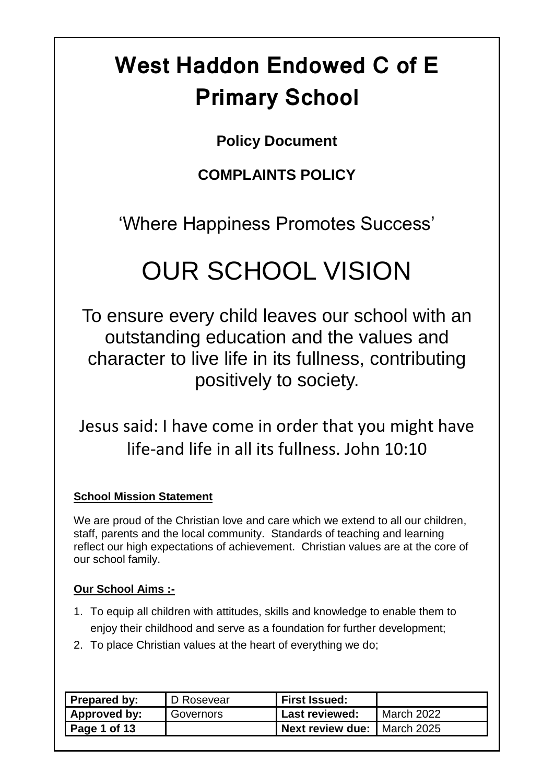# **West Haddon Endowed C of E Primary School**

# **Policy Document**

# **COMPLAINTS POLICY**

'Where Happiness Promotes Success'

# OUR SCHOOL VISION

To ensure every child leaves our school with an outstanding education and the values and character to live life in its fullness, contributing positively to society.

Jesus said: I have come in order that you might have life-and life in all its fullness. John 10:10

### **School Mission Statement**

We are proud of the Christian love and care which we extend to all our children, staff, parents and the local community. Standards of teaching and learning reflect our high expectations of achievement. Christian values are at the core of our school family.

## **Our School Aims :-**

- 1. To equip all children with attitudes, skills and knowledge to enable them to enjoy their childhood and serve as a foundation for further development;
- 2. To place Christian values at the heart of everything we do;

| Prepared by: | D Rosevear | <b>First Issued:</b> |                     |
|--------------|------------|----------------------|---------------------|
| Approved by: | Governors  | Last reviewed:       | <b>March 2022</b>   |
| Page 1 of 13 |            | Next review due:     | <b>I</b> March 2025 |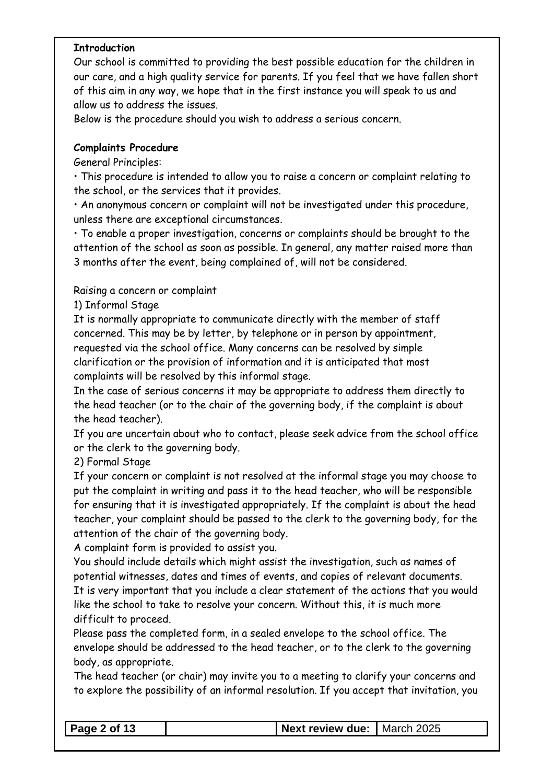#### **Introduction**

Our school is committed to providing the best possible education for the children in our care, and a high quality service for parents. If you feel that we have fallen short of this aim in any way, we hope that in the first instance you will speak to us and allow us to address the issues.

Below is the procedure should you wish to address a serious concern.

#### **Complaints Procedure**

General Principles:

• This procedure is intended to allow you to raise a concern or complaint relating to the school, or the services that it provides.

• An anonymous concern or complaint will not be investigated under this procedure, unless there are exceptional circumstances.

• To enable a proper investigation, concerns or complaints should be brought to the attention of the school as soon as possible. In general, any matter raised more than 3 months after the event, being complained of, will not be considered.

#### Raising a concern or complaint

1) Informal Stage

It is normally appropriate to communicate directly with the member of staff concerned. This may be by letter, by telephone or in person by appointment, requested via the school office. Many concerns can be resolved by simple clarification or the provision of information and it is anticipated that most complaints will be resolved by this informal stage.

In the case of serious concerns it may be appropriate to address them directly to the head teacher (or to the chair of the governing body, if the complaint is about the head teacher).

If you are uncertain about who to contact, please seek advice from the school office or the clerk to the governing body.

2) Formal Stage

If your concern or complaint is not resolved at the informal stage you may choose to put the complaint in writing and pass it to the head teacher, who will be responsible for ensuring that it is investigated appropriately. If the complaint is about the head teacher, your complaint should be passed to the clerk to the governing body, for the attention of the chair of the governing body.

A complaint form is provided to assist you.

You should include details which might assist the investigation, such as names of potential witnesses, dates and times of events, and copies of relevant documents. It is very important that you include a clear statement of the actions that you would like the school to take to resolve your concern. Without this, it is much more difficult to proceed.

Please pass the completed form, in a sealed envelope to the school office. The envelope should be addressed to the head teacher, or to the clerk to the governing body, as appropriate.

The head teacher (or chair) may invite you to a meeting to clarify your concerns and to explore the possibility of an informal resolution. If you accept that invitation, you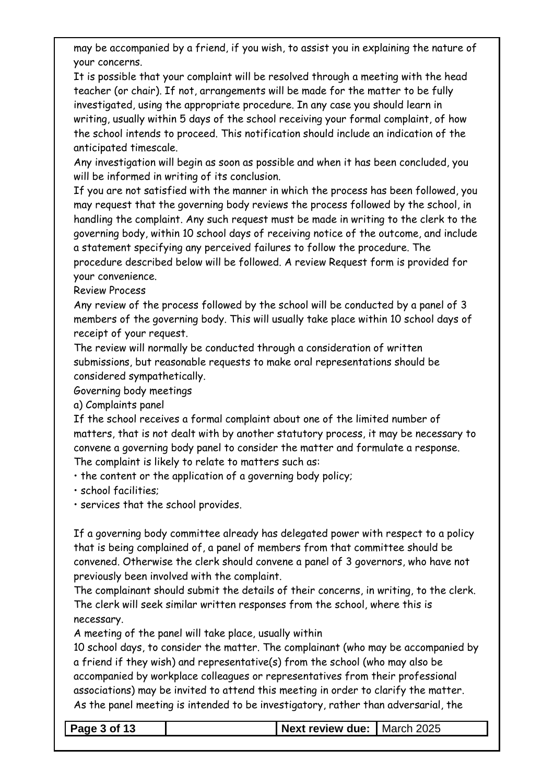may be accompanied by a friend, if you wish, to assist you in explaining the nature of your concerns.

It is possible that your complaint will be resolved through a meeting with the head teacher (or chair). If not, arrangements will be made for the matter to be fully investigated, using the appropriate procedure. In any case you should learn in writing, usually within 5 days of the school receiving your formal complaint, of how the school intends to proceed. This notification should include an indication of the anticipated timescale.

Any investigation will begin as soon as possible and when it has been concluded, you will be informed in writing of its conclusion.

If you are not satisfied with the manner in which the process has been followed, you may request that the governing body reviews the process followed by the school, in handling the complaint. Any such request must be made in writing to the clerk to the governing body, within 10 school days of receiving notice of the outcome, and include a statement specifying any perceived failures to follow the procedure. The procedure described below will be followed. A review Request form is provided for your convenience.

Review Process

Any review of the process followed by the school will be conducted by a panel of 3 members of the governing body. This will usually take place within 10 school days of receipt of your request.

The review will normally be conducted through a consideration of written submissions, but reasonable requests to make oral representations should be considered sympathetically.

Governing body meetings

a) Complaints panel

If the school receives a formal complaint about one of the limited number of matters, that is not dealt with by another statutory process, it may be necessary to convene a governing body panel to consider the matter and formulate a response. The complaint is likely to relate to matters such as:

• the content or the application of a governing body policy;

• school facilities;

• services that the school provides.

If a governing body committee already has delegated power with respect to a policy that is being complained of, a panel of members from that committee should be convened. Otherwise the clerk should convene a panel of 3 governors, who have not previously been involved with the complaint.

The complainant should submit the details of their concerns, in writing, to the clerk. The clerk will seek similar written responses from the school, where this is necessary.

A meeting of the panel will take place, usually within

10 school days, to consider the matter. The complainant (who may be accompanied by a friend if they wish) and representative(s) from the school (who may also be accompanied by workplace colleagues or representatives from their professional associations) may be invited to attend this meeting in order to clarify the matter. As the panel meeting is intended to be investigatory, rather than adversarial, the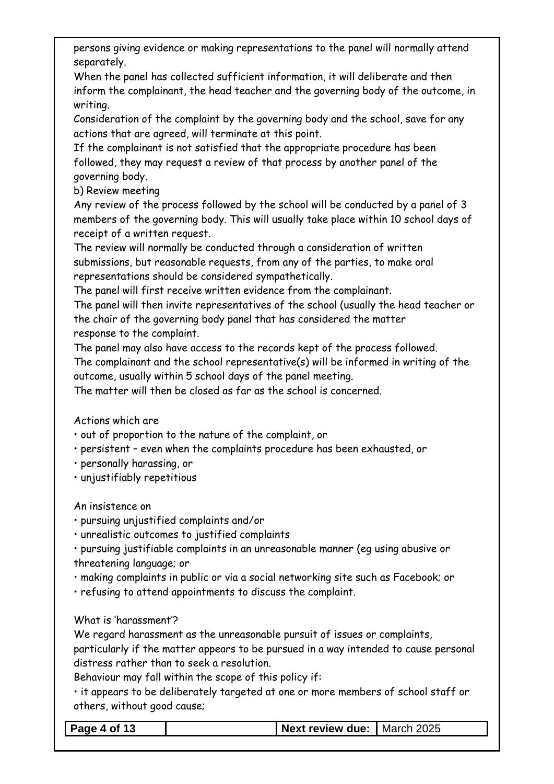persons giving evidence or making representations to the panel will normally attend separately.

When the panel has collected sufficient information, it will deliberate and then inform the complainant, the head teacher and the governing body of the outcome, in writing.

Consideration of the complaint by the governing body and the school, save for any actions that are agreed, will terminate at this point.

If the complainant is not satisfied that the appropriate procedure has been followed, they may request a review of that process by another panel of the governing body.

b) Review meeting

Any review of the process followed by the school will be conducted by a panel of 3 members of the governing body. This will usually take place within 10 school days of receipt of a written request.

The review will normally be conducted through a consideration of written submissions, but reasonable requests, from any of the parties, to make oral representations should be considered sympathetically.

The panel will first receive written evidence from the complainant.

The panel will then invite representatives of the school (usually the head teacher or the chair of the governing body panel that has considered the matter response to the complaint.

The panel may also have access to the records kept of the process followed.

The complainant and the school representative(s) will be informed in writing of the outcome, usually within 5 school days of the panel meeting.

The matter will then be closed as far as the school is concerned.

Actions which are

• out of proportion to the nature of the complaint, or

• persistent – even when the complaints procedure has been exhausted, or

• personally harassing, or

• unjustifiably repetitious

An insistence on

• pursuing unjustified complaints and/or

• unrealistic outcomes to justified complaints

• pursuing justifiable complaints in an unreasonable manner (eg using abusive or threatening language; or

• making complaints in public or via a social networking site such as Facebook; or

• refusing to attend appointments to discuss the complaint.

What is 'harassment'?

We regard harassment as the unreasonable pursuit of issues or complaints,

particularly if the matter appears to be pursued in a way intended to cause personal distress rather than to seek a resolution.

Behaviour may fall within the scope of this policy if:

• it appears to be deliberately targeted at one or more members of school staff or others, without good cause;

**Page 4 of 13 Next review due:** March 2025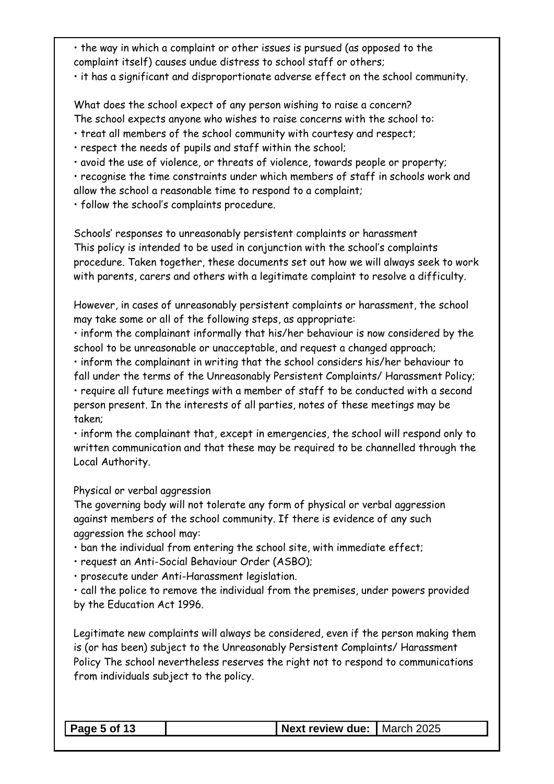• the way in which a complaint or other issues is pursued (as opposed to the complaint itself) causes undue distress to school staff or others;

• it has a significant and disproportionate adverse effect on the school community.

What does the school expect of any person wishing to raise a concern? The school expects anyone who wishes to raise concerns with the school to:

- treat all members of the school community with courtesy and respect;
- respect the needs of pupils and staff within the school;
- avoid the use of violence, or threats of violence, towards people or property;

• recognise the time constraints under which members of staff in schools work and allow the school a reasonable time to respond to a complaint;

• follow the school's complaints procedure.

Schools' responses to unreasonably persistent complaints or harassment This policy is intended to be used in conjunction with the school's complaints procedure. Taken together, these documents set out how we will always seek to work with parents, carers and others with a legitimate complaint to resolve a difficulty.

However, in cases of unreasonably persistent complaints or harassment, the school may take some or all of the following steps, as appropriate:

• inform the complainant informally that his/her behaviour is now considered by the school to be unreasonable or unacceptable, and request a changed approach;

• inform the complainant in writing that the school considers his/her behaviour to fall under the terms of the Unreasonably Persistent Complaints/ Harassment Policy; • require all future meetings with a member of staff to be conducted with a second person present. In the interests of all parties, notes of these meetings may be taken;

• inform the complainant that, except in emergencies, the school will respond only to written communication and that these may be required to be channelled through the Local Authority.

Physical or verbal aggression

The governing body will not tolerate any form of physical or verbal aggression against members of the school community. If there is evidence of any such aggression the school may:

• ban the individual from entering the school site, with immediate effect;

• request an Anti-Social Behaviour Order (ASBO);

• prosecute under Anti-Harassment legislation.

• call the police to remove the individual from the premises, under powers provided by the Education Act 1996.

Legitimate new complaints will always be considered, even if the person making them is (or has been) subject to the Unreasonably Persistent Complaints/ Harassment Policy The school nevertheless reserves the right not to respond to communications from individuals subject to the policy.

| $\vert$ Page 5 of 13 | Next review due: March 2025 |  |
|----------------------|-----------------------------|--|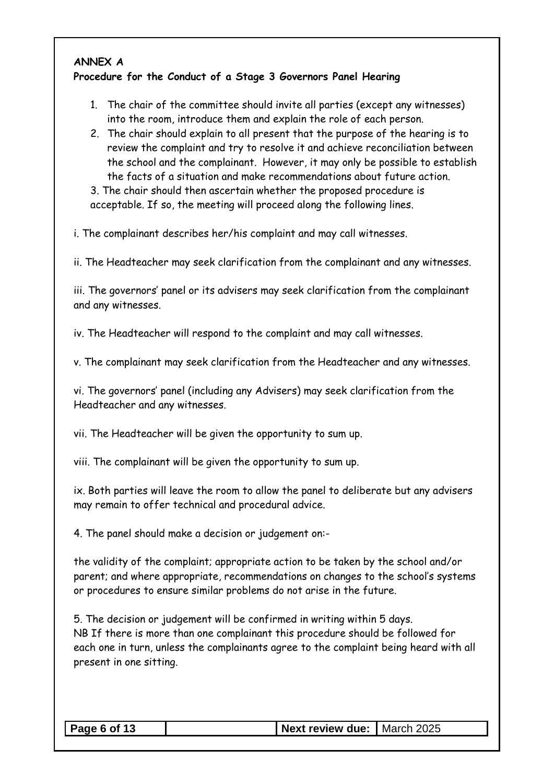### **ANNEX A**

#### **Procedure for the Conduct of a Stage 3 Governors Panel Hearing**

- 1. The chair of the committee should invite all parties (except any witnesses) into the room, introduce them and explain the role of each person.
- 2. The chair should explain to all present that the purpose of the hearing is to review the complaint and try to resolve it and achieve reconciliation between the school and the complainant. However, it may only be possible to establish the facts of a situation and make recommendations about future action.

3. The chair should then ascertain whether the proposed procedure is acceptable. If so, the meeting will proceed along the following lines.

i. The complainant describes her/his complaint and may call witnesses.

ii. The Headteacher may seek clarification from the complainant and any witnesses.

iii. The governors' panel or its advisers may seek clarification from the complainant and any witnesses.

iv. The Headteacher will respond to the complaint and may call witnesses.

v. The complainant may seek clarification from the Headteacher and any witnesses.

vi. The governors' panel (including any Advisers) may seek clarification from the Headteacher and any witnesses.

vii. The Headteacher will be given the opportunity to sum up.

viii. The complainant will be given the opportunity to sum up.

ix. Both parties will leave the room to allow the panel to deliberate but any advisers may remain to offer technical and procedural advice.

4. The panel should make a decision or judgement on:-

the validity of the complaint; appropriate action to be taken by the school and/or parent; and where appropriate, recommendations on changes to the school's systems or procedures to ensure similar problems do not arise in the future.

5. The decision or judgement will be confirmed in writing within 5 days. NB If there is more than one complainant this procedure should be followed for each one in turn, unless the complainants agree to the complaint being heard with all present in one sitting.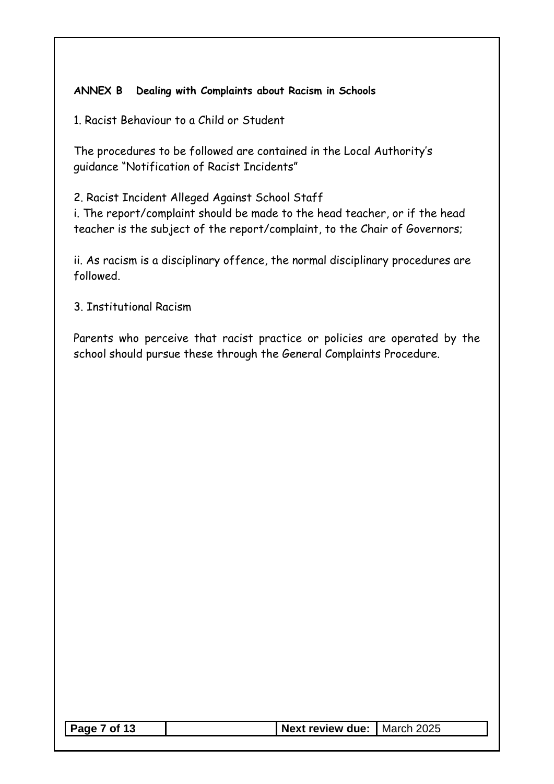#### **ANNEX B Dealing with Complaints about Racism in Schools**

1. Racist Behaviour to a Child or Student

The procedures to be followed are contained in the Local Authority's guidance "Notification of Racist Incidents"

2. Racist Incident Alleged Against School Staff

i. The report/complaint should be made to the head teacher, or if the head teacher is the subject of the report/complaint, to the Chair of Governors;

ii. As racism is a disciplinary offence, the normal disciplinary procedures are followed.

3. Institutional Racism

Parents who perceive that racist practice or policies are operated by the school should pursue these through the General Complaints Procedure.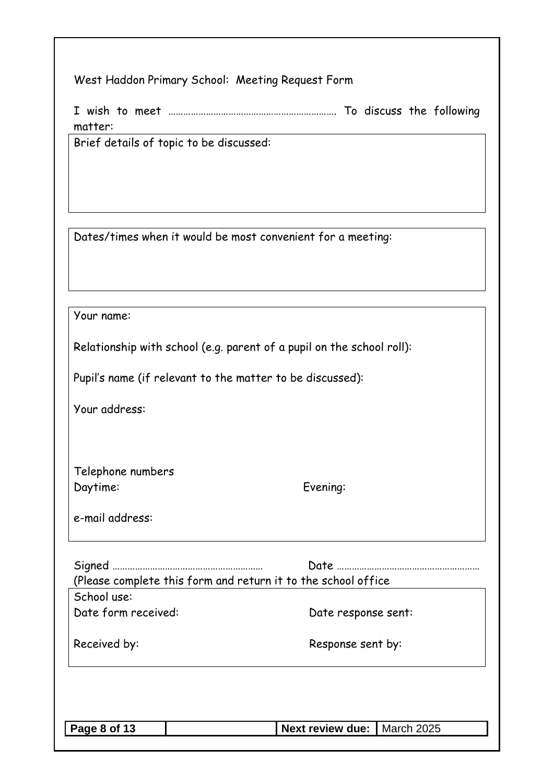| West Haddon Primary School: Meeting Request Form |  |  |
|--------------------------------------------------|--|--|
|                                                  |  |  |

I wish to meet …………………………………………………………. To discuss the following matter:

Brief details of topic to be discussed:

Dates/times when it would be most convenient for a meeting:

Your name:

Relationship with school (e.g. parent of a pupil on the school roll):

Pupil's name (if relevant to the matter to be discussed):

Your address:

Telephone numbers Daytime: Evening:

e-mail address:

|                     | (Please complete this form and return it to the school office |
|---------------------|---------------------------------------------------------------|
| School use:         |                                                               |
| Date form received: | Date response sent:                                           |
| Received by:        | Response sent by:                                             |
|                     |                                                               |
|                     |                                                               |
| Page 8 of 13        | Next review due:   March 2025                                 |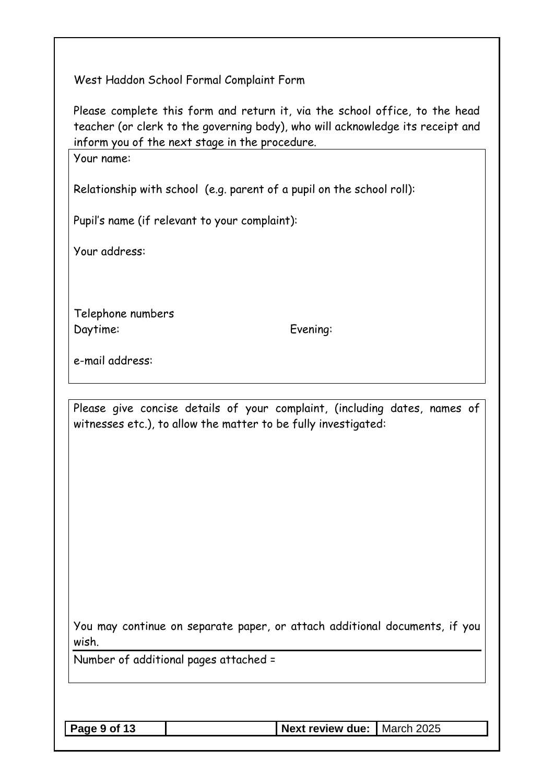West Haddon School Formal Complaint Form

Please complete this form and return it, via the school office, to the head teacher (or clerk to the governing body), who will acknowledge its receipt and inform you of the next stage in the procedure.

Your name:

Relationship with school (e.g. parent of a pupil on the school roll):

Pupil's name (if relevant to your complaint):

Your address:

Telephone numbers Daytime: Evening:

e-mail address:

Please give concise details of your complaint, (including dates, names of witnesses etc.), to allow the matter to be fully investigated:

You may continue on separate paper, or attach additional documents, if you wish.

Number of additional pages attached =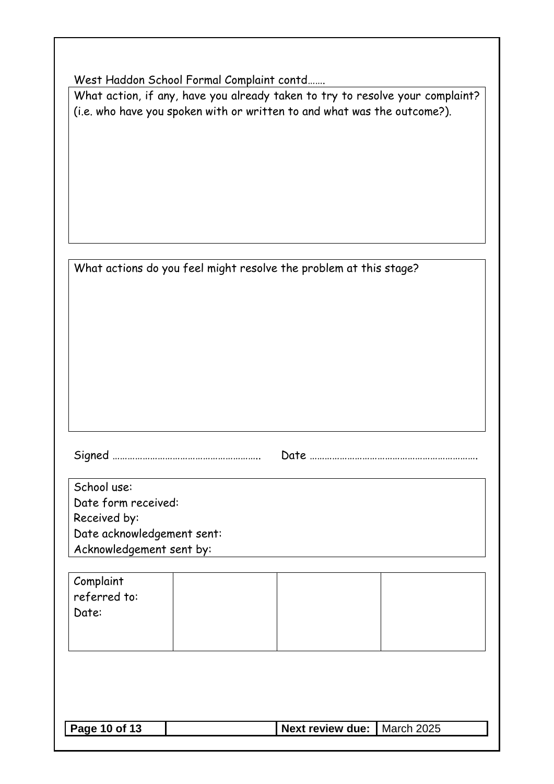| West Haddon School Formal Complaint contd |  |  |
|-------------------------------------------|--|--|
|                                           |  |  |

What action, if any, have you already taken to try to resolve your complaint? (i.e. who have you spoken with or written to and what was the outcome?).

| What actions do you feel might resolve the problem at this stage? |  |  |
|-------------------------------------------------------------------|--|--|
|                                                                   |  |  |

Signed ………………………………………………….. Date ………………………………………………………….

| School use:                |
|----------------------------|
| Date form received:        |
| Received by:               |
| Date acknowledgement sent: |
| Acknowledgement sent by:   |

| Complaint    |  |  |
|--------------|--|--|
| referred to: |  |  |
| Date:        |  |  |
|              |  |  |
|              |  |  |

| Next review due:   March 2025<br>Page 10 of 13 |  |
|------------------------------------------------|--|
|------------------------------------------------|--|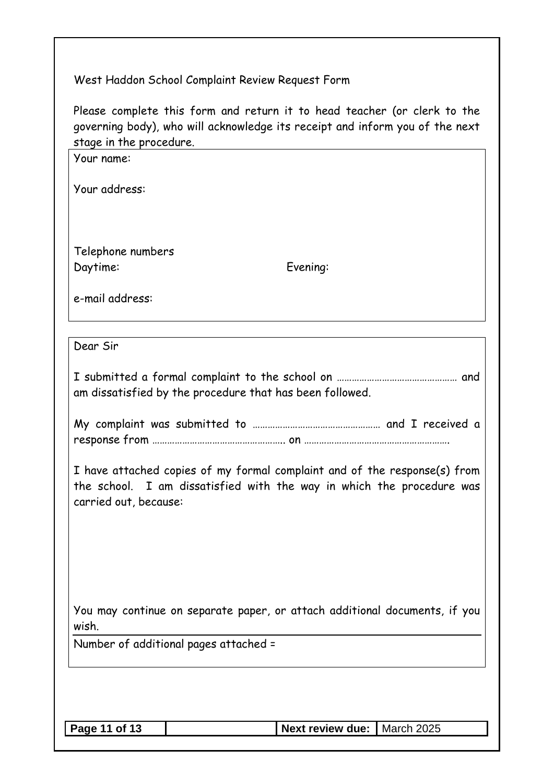## West Haddon School Complaint Review Request Form

Please complete this form and return it to head teacher (or clerk to the governing body), who will acknowledge its receipt and inform you of the next stage in the procedure.

| stage in the proceaure.<br>Your name:                                                                                                                                       |                                                          |            |  |  |
|-----------------------------------------------------------------------------------------------------------------------------------------------------------------------------|----------------------------------------------------------|------------|--|--|
| Your address:                                                                                                                                                               |                                                          |            |  |  |
|                                                                                                                                                                             |                                                          |            |  |  |
|                                                                                                                                                                             |                                                          |            |  |  |
| Telephone numbers<br>Daytime:                                                                                                                                               | Evening:                                                 |            |  |  |
| e-mail address:                                                                                                                                                             |                                                          |            |  |  |
|                                                                                                                                                                             |                                                          |            |  |  |
| Dear Sir                                                                                                                                                                    |                                                          |            |  |  |
|                                                                                                                                                                             | am dissatisfied by the procedure that has been followed. |            |  |  |
|                                                                                                                                                                             |                                                          |            |  |  |
| I have attached copies of my formal complaint and of the response(s) from<br>the school. I am dissatisfied with the way in which the procedure was<br>carried out, because: |                                                          |            |  |  |
|                                                                                                                                                                             |                                                          |            |  |  |
|                                                                                                                                                                             |                                                          |            |  |  |
| You may continue on separate paper, or attach additional documents, if you<br>wish.                                                                                         |                                                          |            |  |  |
| Number of additional pages attached =                                                                                                                                       |                                                          |            |  |  |
|                                                                                                                                                                             |                                                          |            |  |  |
|                                                                                                                                                                             |                                                          |            |  |  |
| Page 11 of 13                                                                                                                                                               | <b>Next review due:</b>                                  | March 2025 |  |  |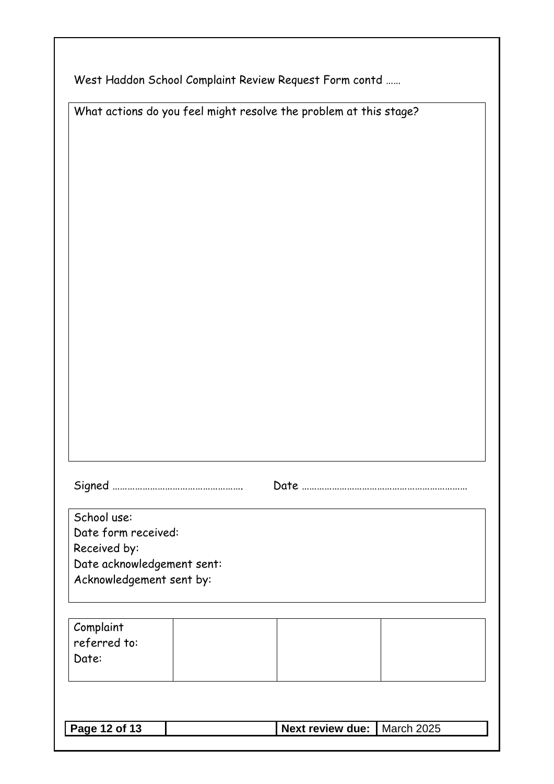| West Haddon School Complaint Review Request Form contd |  |
|--------------------------------------------------------|--|
|                                                        |  |

| What actions do you feel might resolve the problem at this stage? |  |  |  |  |
|-------------------------------------------------------------------|--|--|--|--|
|                                                                   |  |  |  |  |

| School use:                |
|----------------------------|
| Date form received:        |
| Received by:               |
| Date acknowledgement sent: |
| Acknowledgement sent by:   |

| Complaint<br>referred to:<br>Date: |  |  |
|------------------------------------|--|--|
|                                    |  |  |

| Next review due:   March 2025<br><b>Page 12 of 13</b> |
|-------------------------------------------------------|
|-------------------------------------------------------|